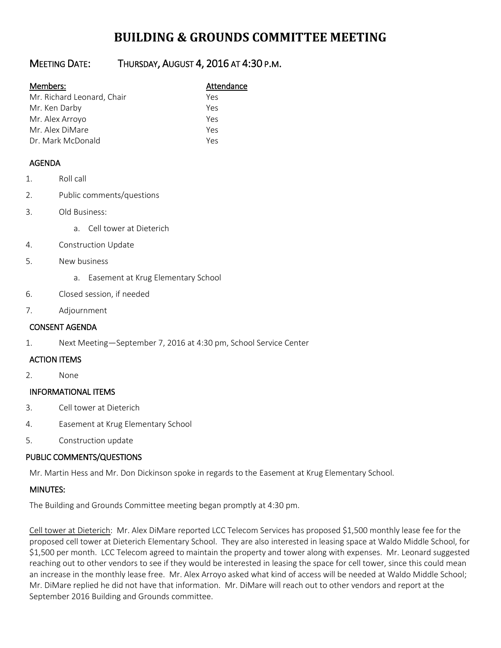# **BUILDING & GROUNDS COMMITTEE MEETING**

## MEETING DATE: THURSDAY, AUGUST 4, 2016 AT 4:30 P.M.

| Members: |  |
|----------|--|
|          |  |

| Members: | Attendance |
|----------|------------|
|----------|------------|

| Mr. Richard Leonard, Chair | Yes |
|----------------------------|-----|
| Mr. Ken Darby              | Yes |
| Mr. Alex Arroyo            | Yes |
| Mr. Alex DiMare            | Yes |
| Dr. Mark McDonald          | Yes |

### AGENDA

- 1. Roll call
- 2. Public comments/questions
- 3. Old Business:
	- a. Cell tower at Dieterich
- 4. Construction Update
- 5. New business
	- a. Easement at Krug Elementary School
- 6. Closed session, if needed
- 7. Adjournment

#### CONSENT AGENDA

1. Next Meeting—September 7, 2016 at 4:30 pm, School Service Center

#### ACTION ITEMS

2. None

#### INFORMATIONAL ITEMS

- 3. Cell tower at Dieterich
- 4. Easement at Krug Elementary School
- 5. Construction update

#### PUBLIC COMMENTS/QUESTIONS

Mr. Martin Hess and Mr. Don Dickinson spoke in regards to the Easement at Krug Elementary School.

#### MINUTES:

The Building and Grounds Committee meeting began promptly at 4:30 pm.

Cell tower at Dieterich: Mr. Alex DiMare reported LCC Telecom Services has proposed \$1,500 monthly lease fee for the proposed cell tower at Dieterich Elementary School. They are also interested in leasing space at Waldo Middle School, for \$1,500 per month. LCC Telecom agreed to maintain the property and tower along with expenses. Mr. Leonard suggested reaching out to other vendors to see if they would be interested in leasing the space for cell tower, since this could mean an increase in the monthly lease free. Mr. Alex Arroyo asked what kind of access will be needed at Waldo Middle School; Mr. DiMare replied he did not have that information. Mr. DiMare will reach out to other vendors and report at the September 2016 Building and Grounds committee.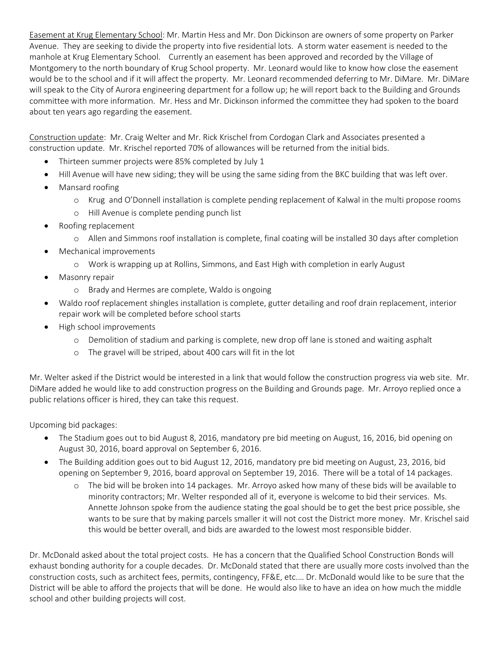Easement at Krug Elementary School: Mr. Martin Hess and Mr. Don Dickinson are owners of some property on Parker Avenue. They are seeking to divide the property into five residential lots. A storm water easement is needed to the manhole at Krug Elementary School. Currently an easement has been approved and recorded by the Village of Montgomery to the north boundary of Krug School property. Mr. Leonard would like to know how close the easement would be to the school and if it will affect the property. Mr. Leonard recommended deferring to Mr. DiMare. Mr. DiMare will speak to the City of Aurora engineering department for a follow up; he will report back to the Building and Grounds committee with more information. Mr. Hess and Mr. Dickinson informed the committee they had spoken to the board about ten years ago regarding the easement.

Construction update: Mr. Craig Welter and Mr. Rick Krischel from Cordogan Clark and Associates presented a construction update. Mr. Krischel reported 70% of allowances will be returned from the initial bids.

- Thirteen summer projects were 85% completed by July 1
- Hill Avenue will have new siding; they will be using the same siding from the BKC building that was left over.
- Mansard roofing
	- o Krug and O'Donnell installation is complete pending replacement of Kalwal in the multi propose rooms
	- o Hill Avenue is complete pending punch list
- Roofing replacement
	- o Allen and Simmons roof installation is complete, final coating will be installed 30 days after completion
- Mechanical improvements
	- o Work is wrapping up at Rollins, Simmons, and East High with completion in early August
- Masonry repair
	- o Brady and Hermes are complete, Waldo is ongoing
- Waldo roof replacement shingles installation is complete, gutter detailing and roof drain replacement, interior repair work will be completed before school starts
- High school improvements
	- o Demolition of stadium and parking is complete, new drop off lane is stoned and waiting asphalt
	- o The gravel will be striped, about 400 cars will fit in the lot

Mr. Welter asked if the District would be interested in a link that would follow the construction progress via web site. Mr. DiMare added he would like to add construction progress on the Building and Grounds page. Mr. Arroyo replied once a public relations officer is hired, they can take this request.

Upcoming bid packages:

- The Stadium goes out to bid August 8, 2016, mandatory pre bid meeting on August, 16, 2016, bid opening on August 30, 2016, board approval on September 6, 2016.
- The Building addition goes out to bid August 12, 2016, mandatory pre bid meeting on August, 23, 2016, bid opening on September 9, 2016, board approval on September 19, 2016. There will be a total of 14 packages.
	- o The bid will be broken into 14 packages. Mr. Arroyo asked how many of these bids will be available to minority contractors; Mr. Welter responded all of it, everyone is welcome to bid their services. Ms. Annette Johnson spoke from the audience stating the goal should be to get the best price possible, she wants to be sure that by making parcels smaller it will not cost the District more money. Mr. Krischel said this would be better overall, and bids are awarded to the lowest most responsible bidder.

Dr. McDonald asked about the total project costs. He has a concern that the Qualified School Construction Bonds will exhaust bonding authority for a couple decades. Dr. McDonald stated that there are usually more costs involved than the construction costs, such as architect fees, permits, contingency, FF&E, etc.… Dr. McDonald would like to be sure that the District will be able to afford the projects that will be done. He would also like to have an idea on how much the middle school and other building projects will cost.